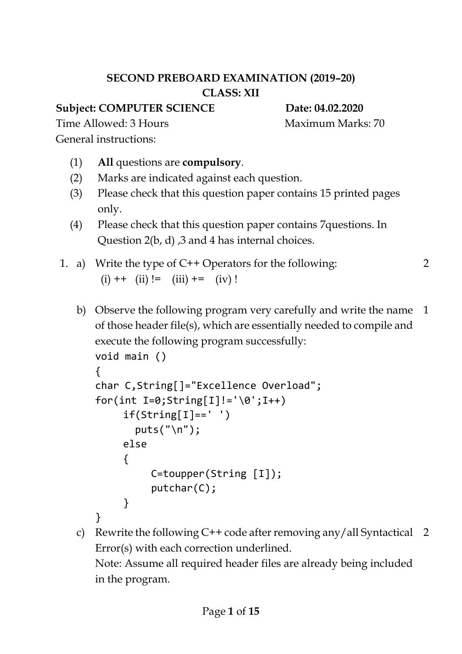# **SECOND PREBOARD EXAMINATION (2019–20) CLASS: XII**

# **Subject: COMPUTER SCIENCE** Date: 04.02.2020

Time Allowed: 3 Hours Maximum Marks: 70

General instructions:

- (1) **All** questions are **compulsory**.
- (2) Marks are indicated against each question.
- (3) Please check that this question paper contains 15 printed pages only.
- (4) Please check that this question paper contains 7questions. In Question 2(b, d) ,3 and 4 has internal choices.
- 1. a) Write the type of C++ Operators for the following:  $(i)$  ++  $(ii)$  !=  $(iii)$  +=  $(iv)$  ! 2
	- b) Observe the following program very carefully and write the name of those header file(s), which are essentially needed to compile and execute the following program successfully: 1

```
void main () 
{
char C,String[]="Excellence Overload";
for(int I=0; String[I]!='\0';I++)
     if(String[I]==' ' )puts("\langle n" \rangle;
     else
     {
          C=toupper(String [I]);
          putchar(C);
     }
}
```
c) Rewrite the following C++ code after removing any/all Syntactical 2Error(s) with each correction underlined.

Note: Assume all required header files are already being included in the program.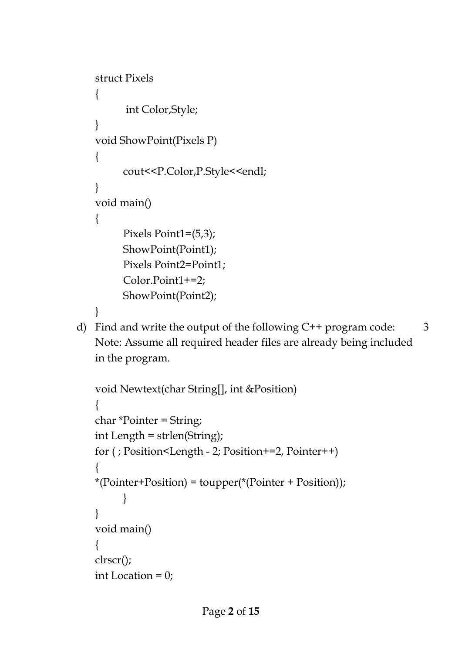```
struct Pixels
{
      int Color,Style;
}
void ShowPoint(Pixels P)
\{cout<<P.Color,P.Style<<endl;
}
void main()
{
     Pixels Point1=(5,3);
     ShowPoint(Point1);
      Pixels Point2=Point1;
      Color.Point1+=2;
     ShowPoint(Point2);
}
```
d) Find and write the output of the following C++ program code: Note: Assume all required header files are already being included in the program.

```
void Newtext(char String[], int &Position)
{
char *Pointer = String;
int Length = strlen(String);
for ( ; Position<Length - 2; Position+=2, Pointer++)
{
*(Pointer+Position) = toupper(*(Pointer + Position));
      }
}
void main()
{
clrscr();
int Location = 0;
```
3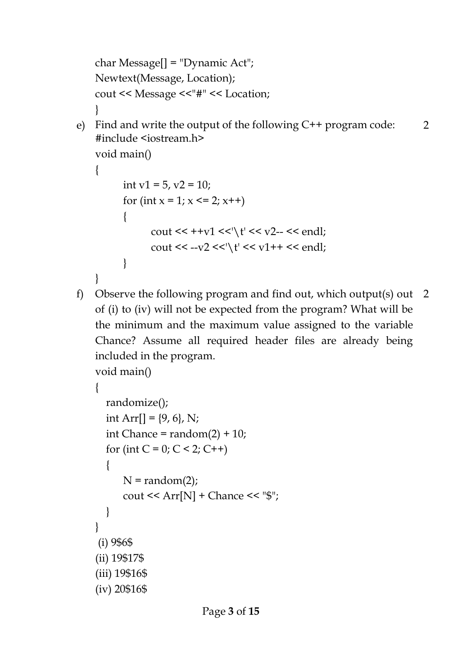```
char Message[] = "Dynamic Act";
    Newtext(Message, Location);
   cout << Message <<"#" << Location;
    }
e) Find and write the output of the following C++ program code: 
    #include <iostream.h>
    void main()
    {
         int v1 = 5, v2 = 10;
         for (int x = 1; x \le 2; x++)
          {
               cout << ++v1 <<'\t' << v2- << endl;
               cout << --v2 << '\t' << v1++ << endl;
         }
    }
                                                                         2
f) Observe the following program and find out, which output(s) out 
    of (i) to (iv) will not be expected from the program? What will be 
    the minimum and the maximum value assigned to the variable 
    Chance? Assume all required header files are already being 
   included in the program.
   void main()
    {
       randomize();
      int Arr[] = \{9, 6\}, N;
      int Chance = random(2) + 10;
      for (int C = 0; C < 2; C++)
       {
         N = random(2);cout << Arr[N] + Chance << "\frac{8}{3}";
       }
    }
    (i) 9$6$
    (ii) 19$17$
    (iii) 19$16$
    (iv) 20$16$
                                                                        2
```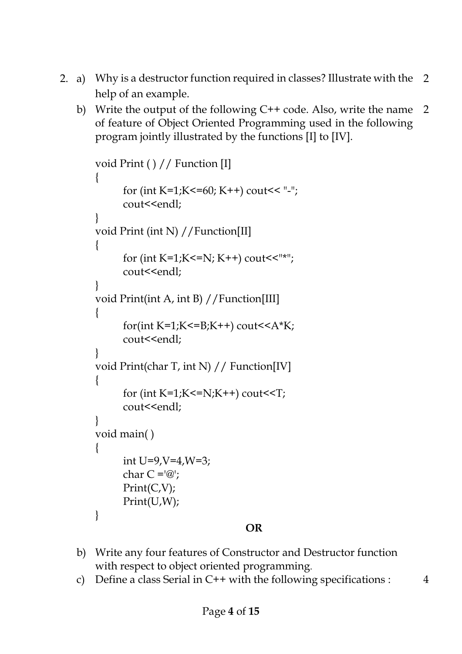- 2. a) Why is a destructor function required in classes? Illustrate with the help of an example. 2
	- b) Write the output of the following C++ code. Also, write the name of feature of Object Oriented Programming used in the following program jointly illustrated by the functions [I] to [IV]. 2

```
void Print ( ) // Function [I]
{
      for (int K=1;K<=60; K++) cout<< "-";
      cout<<endl;
}
void Print (int N) //Function[II]
\{for (int K=1;K<=N; K++) cout<<"*";
      cout<<endl;
}
void Print(int A, int B) //Function[III]
{
      for(int K=1;K<=B;K++) cout<<A*K;
      cout<<endl;
}
void Print(char T, int N) // Function[IV]
{
      for (int K=1;K\le=N;K++) cout\leT;
      cout<<endl;
}
void main( )
{
      int U=9, V=4, W=3;char C = \mathcal{C}';
      Print(C,V);
      Print(U,W);
}
```
### **OR**

- b) Write any four features of Constructor and Destructor function with respect to object oriented programming.
- c) Define a class Serial in  $C++$  with the following specifications :  $4$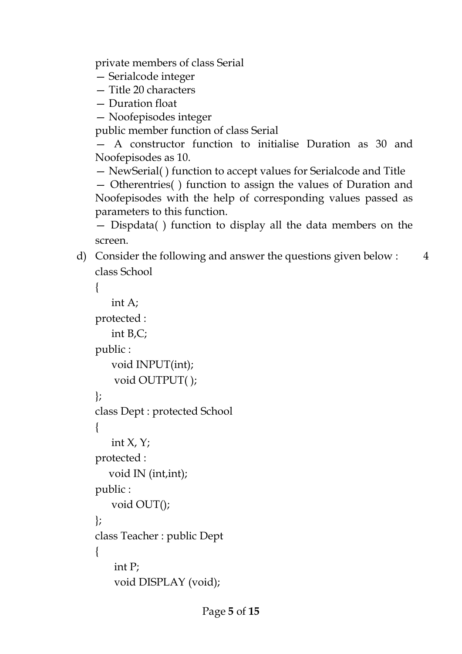private members of class Serial

- Serialcode integer
- Title 20 characters
- Duration float
- Noofepisodes integer

public member function of class Serial

— A constructor function to initialise Duration as 30 and Noofepisodes as 10.

— NewSerial( ) function to accept values for Serialcode and Title

— Otherentries( ) function to assign the values of Duration and Noofepisodes with the help of corresponding values passed as parameters to this function.

— Dispdata( ) function to display all the data members on the screen.

d) Consider the following and answer the questions given below : class School 4

```
{
    int A;
protected :
    int B,C;
public :
    void INPUT(int);
     void OUTPUT( );
};
class Dept : protected School
{
   int X, Y;
protected :
    void IN (int,int);
public :
    void OUT();
};
class Teacher : public Dept
{
     int P;
     void DISPLAY (void);
```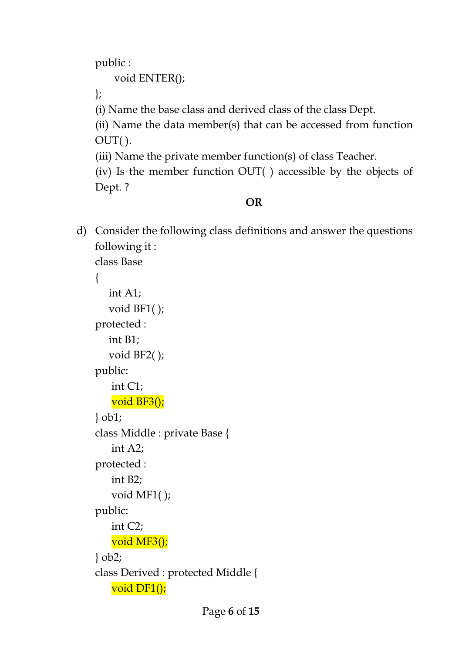public :

void ENTER();

};

(i) Name the base class and derived class of the class Dept.

(ii) Name the data member(s) that can be accessed from function OUT( ).

(iii) Name the private member function(s) of class Teacher.

(iv) Is the member function OUT( ) accessible by the objects of Dept. ?

# **OR**

d) Consider the following class definitions and answer the questions following it :

class Base

```
\{ int A1;
    void BF1( );
protected :
    int B1;
    void BF2( );
public:
    int C1;
    void BF3();
} ob1;
class Middle : private Base {
    int A2;
protected :
    int B2;
    void MF1( );
public:
    int C2;
    void MF3();
} ob2;
class Derived : protected Middle {
    void DF1();
```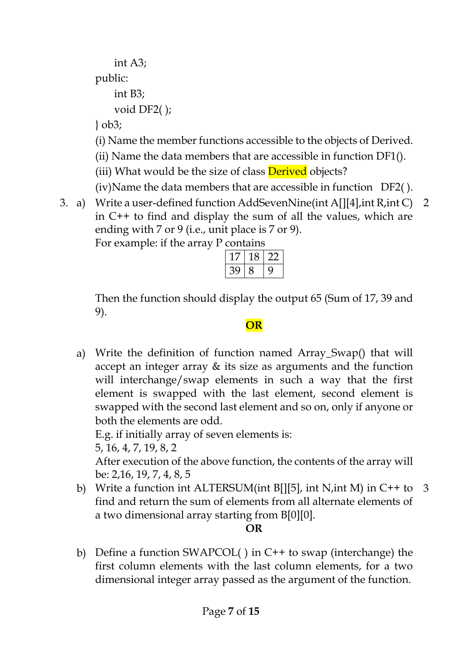int A3; public: int B3;

void DF2( );

} ob3;

(i) Name the member functions accessible to the objects of Derived.

- (ii) Name the data members that are accessible in function DF1().
- (iii) What would be the size of class **Derived** objects?
- (iv)Name the data members that are accessible in function DF2( ).
- 3. a) Write a user-defined function AddSevenNine(int A[][4],int R,int C) 2 in C++ to find and display the sum of all the values, which are ending with 7 or 9 (i.e., unit place is 7 or 9).

| For example: if the array P contains |  |  |
|--------------------------------------|--|--|
|--------------------------------------|--|--|

|     | ۰ |  |
|-----|---|--|
| ' ג |   |  |

Then the function should display the output 65 (Sum of 17, 39 and 9).

**OR**

a) Write the definition of function named Array\_Swap() that will accept an integer array & its size as arguments and the function will interchange/swap elements in such a way that the first element is swapped with the last element, second element is swapped with the second last element and so on, only if anyone or both the elements are odd.

E.g. if initially array of seven elements is:

5, 16, 4, 7, 19, 8, 2

After execution of the above function, the contents of the array will be: 2,16, 19, 7, 4, 8, 5

b) Write a function int ALTERSUM(int B[][5], int N,int M) in C++ to 3 find and return the sum of elements from all alternate elements of a two dimensional array starting from B[0][0].

## **OR**

b) Define a function SWAPCOL( ) in C++ to swap (interchange) the first column elements with the last column elements, for a two dimensional integer array passed as the argument of the function.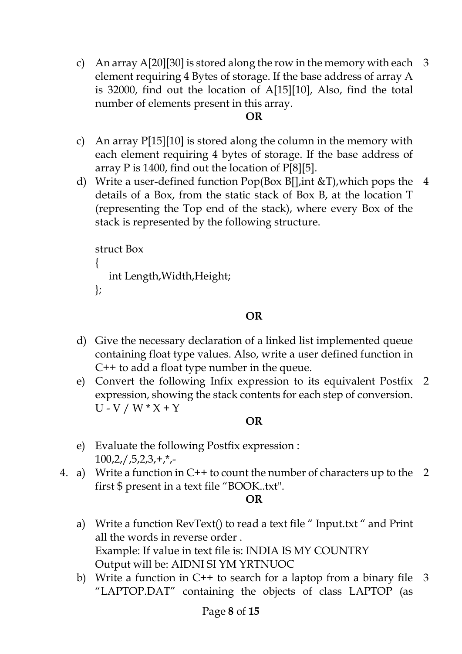c) An array A[20][30] is stored along the row in the memory with each 3 element requiring 4 Bytes of storage. If the base address of array A is 32000, find out the location of A[15][10], Also, find the total number of elements present in this array.

#### **OR**

- c) An array P[15][10] is stored along the column in the memory with each element requiring 4 bytes of storage. If the base address of array P is 1400, find out the location of P[8][5].
- d) Write a user-defined function Pop(Box B[],int &T),which pops the 4 details of a Box, from the static stack of Box B, at the location T (representing the Top end of the stack), where every Box of the stack is represented by the following structure.

```
struct Box
{
   int Length,Width,Height;
};
```
### **OR**

- d) Give the necessary declaration of a linked list implemented queue containing float type values. Also, write a user defined function in C++ to add a float type number in the queue.
- e) Convert the following Infix expression to its equivalent Postfix 2 expression, showing the stack contents for each step of conversion.  $U - V / W * X + Y$

### **OR**

- e) Evaluate the following Postfix expression :  $100,2$ ,  $/$ , 5, 2, 3, +,  $*$ , -
- 4. a) Write a function in C++ to count the number of characters up to the 2 first \$ present in a text file "BOOK..txt".

#### **OR**

- a) Write a function RevText() to read a text file " Input.txt " and Print all the words in reverse order . Example: If value in text file is: INDIA IS MY COUNTRY Output will be: AIDNI SI YM YRTNUOC
- b) Write a function in C++ to search for a laptop from a binary file 3"LAPTOP.DAT" containing the objects of class LAPTOP (as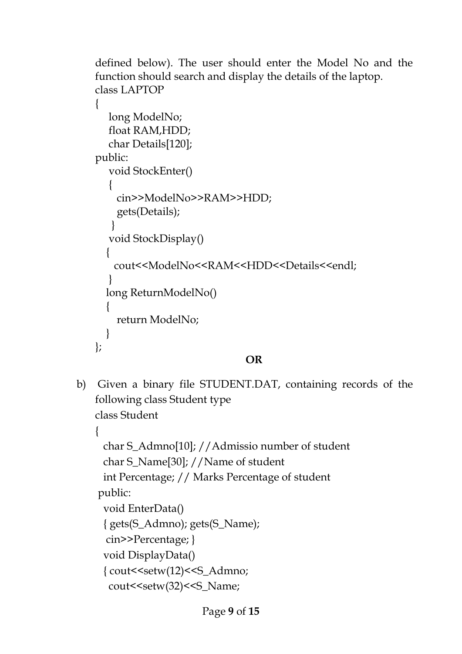```
defined below). The user should enter the Model No and the 
function should search and display the details of the laptop.
class LAPTOP
{
   long ModelNo;
   float RAM,HDD;
   char Details[120];
public:
   void StockEnter()
\{ cin>>ModelNo>>RAM>>HDD;
     gets(Details);
    }
   void StockDisplay()
   {
   cout<<ModelNo<<RAM<<HDD<<Details<<endl;
 }
  long ReturnModelNo()
\{ return ModelNo;
 }
};
```
## **OR**

b) Given a binary file STUDENT.DAT, containing records of the following class Student type class Student

```
{ 
  char S_Admno[10]; //Admissio number of student
  char S_Name[30]; //Name of student
  int Percentage; // Marks Percentage of student
public:
  void EnterData()
  { gets(S_Admno); gets(S_Name);
  cin>>Percentage; }
  void DisplayData()
  { cout<<setw(12)<<S_Admno;
  cout << setw(32) << S_Name;
```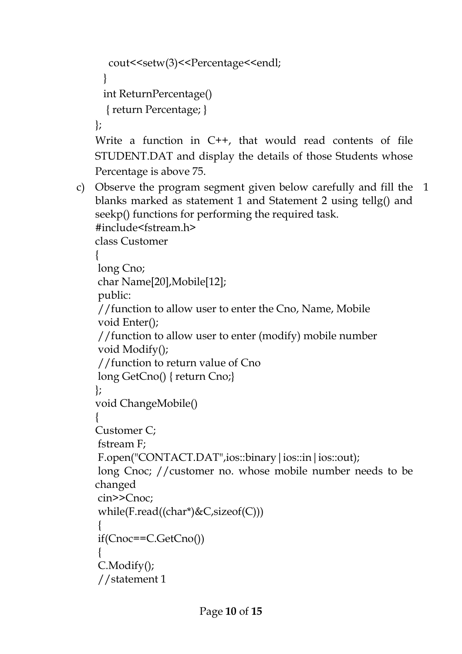```
cout <<setw(3) <<<<rr/>Percentage <<<<<<<<rr/>dd</>
```
}

```
 int ReturnPercentage()
```
{ return Percentage; }

};

Write a function in C++, that would read contents of file STUDENT.DAT and display the details of those Students whose Percentage is above 75.

c) Observe the program segment given below carefully and fill the 1blanks marked as statement 1 and Statement 2 using tellg() and seekp() functions for performing the required task.

```
#include<fstream.h>
class Customer
{
long Cno;
char Name[20],Mobile[12];
public:
//function to allow user to enter the Cno, Name, Mobile
void Enter();
//function to allow user to enter (modify) mobile number
void Modify();
//function to return value of Cno
long GetCno() { return Cno;}
};
void ChangeMobile()
{
Customer C;
fstream F;
F.open("CONTACT.DAT",ios::binary | ios::in | ios::out);
long Cnoc; //customer no. whose mobile number needs to be 
changed
cin>>Cnoc;
while(F.read((char*)&C,sizeof(C)))
```

```
{
if(Cnoc==C.GetCno())
```

```
{
C.Modify();
```

```
//statement 1
```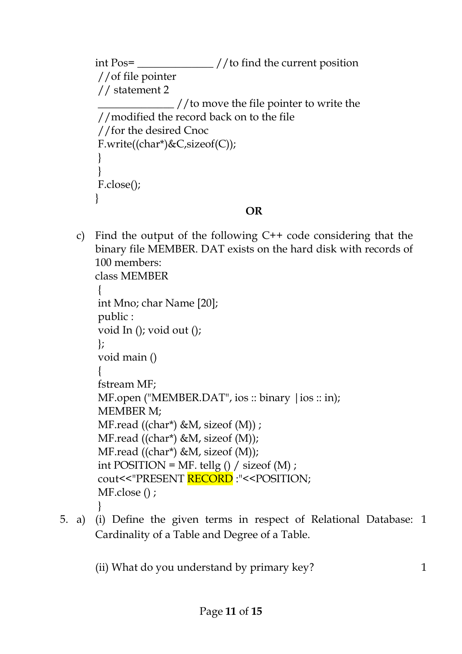```
int Pos= ______________ //to find the current position
//of file pointer
// statement 2
                \_ //to move the file pointer to write the
//modified the record back on to the file
//for the desired Cnoc
F.write((char*)\&C, sizeof(C));}
}
F.close();
}
                                OR
```
c) Find the output of the following C++ code considering that the binary file MEMBER. DAT exists on the hard disk with records of 100 members:

```
class MEMBER
{
int Mno; char Name [20];
public :
void In (); void out ();
};
void main ()
{
fstream MF;
MF.open ("MEMBER.DAT", ios :: binary | ios :: in);
MEMBER M;
MF.read ((char*) \& M, sizeof (M)) ;MF.read ((char*) &M, sizeof (M));
MF.read ((char*) &M, sizeof (M));
int POSITION = MF. tellg () / sizeof (M);
cout<<"PRESENT RECORD :"<<POSITION;
MF.close () ;
}
```
5. a) (i) Define the given terms in respect of Relational Database: 1 Cardinality of a Table and Degree of a Table.

(ii) What do you understand by primary key?  $1$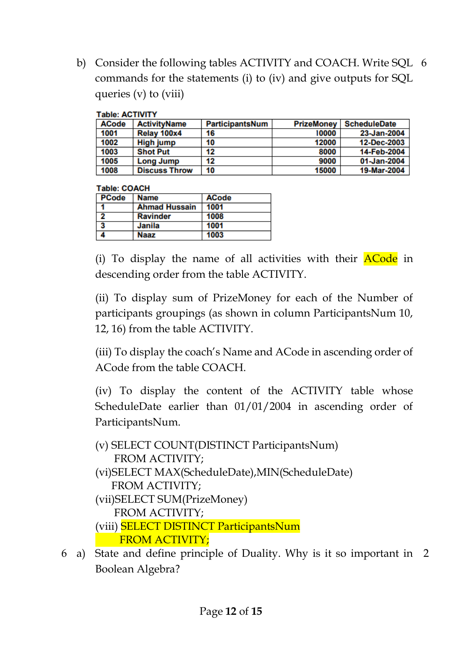b) Consider the following tables ACTIVITY and COACH. Write SQL 6 commands for the statements (i) to (iv) and give outputs for SQL queries (v) to (viii)

| Table: ACTIVITT |                      |                        |                   |                     |
|-----------------|----------------------|------------------------|-------------------|---------------------|
| <b>ACode</b>    | <b>ActivityName</b>  | <b>ParticipantsNum</b> | <b>PrizeMoney</b> | <b>ScheduleDate</b> |
| 1001            | Relay 100x4          | 16                     | 10000             | 23-Jan-2004         |
| 1002            | High jump            | 10                     | 12000             | 12-Dec-2003         |
| 1003            | <b>Shot Put</b>      | 12                     | 8000              | 14-Feb-2004         |
| 1005            | <b>Long Jump</b>     | 12                     | 9000              | 01-Jan-2004         |
| 1008            | <b>Discuss Throw</b> | 10                     | 15000             | 19-Mar-2004         |

#### Telefon ACTIVITY

#### Table: COACH

| <b>PCode</b>            | <b>Name</b>          | <b>ACode</b> |  |
|-------------------------|----------------------|--------------|--|
| l 41                    | <b>Ahmad Hussain</b> | 1001         |  |
| □                       | <b>Ravinder</b>      | 1008         |  |
| $\overline{\mathbf{3}}$ | Janila               | 1001         |  |
|                         | Naaz                 | 1003         |  |

(i) To display the name of all activities with their  $\Delta C$  in descending order from the table ACTIVITY.

(ii) To display sum of PrizeMoney for each of the Number of participants groupings (as shown in column ParticipantsNum 10, 12, 16) from the table ACTIVITY.

(iii) To display the coach's Name and ACode in ascending order of ACode from the table COACH.

(iv) To display the content of the ACTIVITY table whose ScheduleDate earlier than 01/01/2004 in ascending order of ParticipantsNum.

(v) SELECT COUNT(DISTINCT ParticipantsNum) FROM ACTIVITY; (vi)SELECT MAX(ScheduleDate),MIN(ScheduleDate) FROM ACTIVITY; (vii)SELECT SUM(PrizeMoney) FROM ACTIVITY; (viii) SELECT DISTINCT ParticipantsNum FROM ACTIVITY;

6 a) State and define principle of Duality. Why is it so important in 2Boolean Algebra?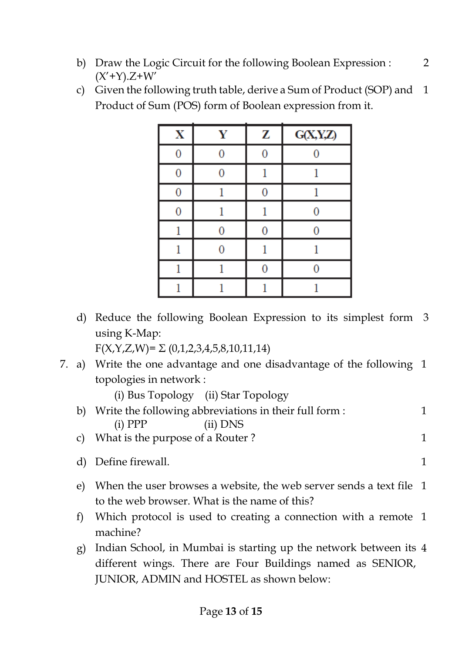- b) Draw the Logic Circuit for the following Boolean Expression :  $(X'+Y)$ .Z+W'
- c) Given the following truth table, derive a Sum of Product (SOP) and Product of Sum (POS) form of Boolean expression from it. 1

| $\mathbf X$ | Y | z | G(X,Y,Z) |
|-------------|---|---|----------|
| 0           |   |   |          |
|             |   |   |          |
| 0           |   | O |          |
| 0           |   |   |          |
|             |   |   |          |
|             |   |   |          |
|             |   |   |          |
|             |   |   |          |

d) Reduce the following Boolean Expression to its simplest form 3 using K-Map:

 $F(X,Y,Z,W)=\Sigma(0,1,2,3,4,5,8,10,11,14)$ 

7. a) Write the one advantage and one disadvantage of the following 1 topologies in network :

(i) Bus Topology (ii) Star Topology

- b) Write the following abbreviations in their full form : (i) PPP (ii) DNS 1 c) What is the purpose of a Router ? 1
- 
- d) Define firewall. 1
- e) When the user browses a website, the web server sends a text file 1 to the web browser. What is the name of this?
- f) Which protocol is used to creating a connection with a remote 1 machine?
- g) Indian School, in Mumbai is starting up the network between its 4different wings. There are Four Buildings named as SENIOR, JUNIOR, ADMIN and HOSTEL as shown below: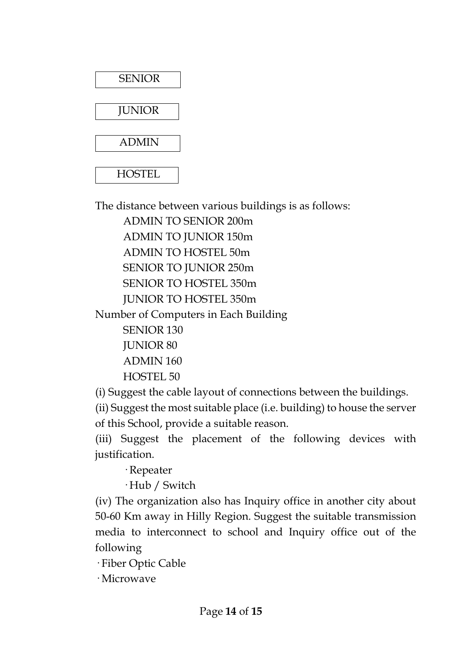

The distance between various buildings is as follows:

ADMIN TO SENIOR 200m ADMIN TO JUNIOR 150m ADMIN TO HOSTEL 50m SENIOR TO JUNIOR 250m SENIOR TO HOSTEL 350m JUNIOR TO HOSTEL 350m Number of Computers in Each Building SENIOR 130 JUNIOR 80 ADMIN 160 HOSTEL 50

(i) Suggest the cable layout of connections between the buildings.

(ii) Suggest the most suitable place (i.e. building) to house the server of this School, provide a suitable reason.

(iii) Suggest the placement of the following devices with justification.

· Repeater

· Hub / Switch

(iv) The organization also has Inquiry office in another city about 50-60 Km away in Hilly Region. Suggest the suitable transmission media to interconnect to school and Inquiry office out of the following

· Fiber Optic Cable

· Microwave